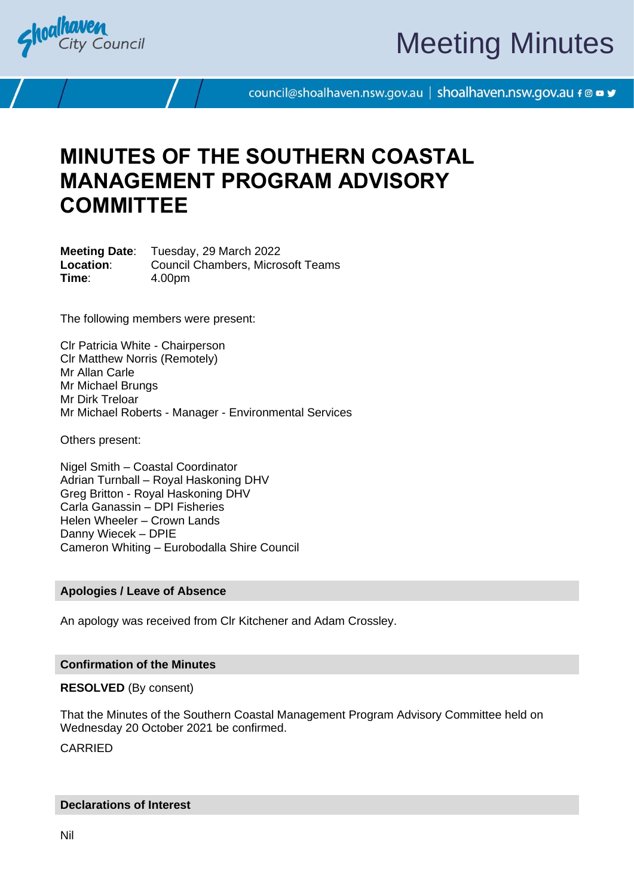

# Meeting Minutes

council@shoalhaven.nsw.gov.au | shoalhaven.nsw.gov.au f @ ■ y

## **MINUTES OF THE SOUTHERN COASTAL MANAGEMENT PROGRAM ADVISORY COMMITTEE**

**Meeting Date**: Tuesday, 29 March 2022 **Location**: Council Chambers, Microsoft Teams **Time**: 4.00pm

The following members were present:

Clr Patricia White - Chairperson Clr Matthew Norris (Remotely) Mr Allan Carle Mr Michael Brungs Mr Dirk Treloar Mr Michael Roberts - Manager - Environmental Services

Others present:

Nigel Smith – Coastal Coordinator Adrian Turnball – Royal Haskoning DHV Greg Britton - Royal Haskoning DHV Carla Ganassin – DPI Fisheries Helen Wheeler – Crown Lands Danny Wiecek – DPIE Cameron Whiting – Eurobodalla Shire Council

#### **Apologies / Leave of Absence**

An apology was received from Clr Kitchener and Adam Crossley.

#### **Confirmation of the Minutes**

**RESOLVED** (By consent)

That the Minutes of the Southern Coastal Management Program Advisory Committee held on Wednesday 20 October 2021 be confirmed.

CARRIED

#### **Declarations of Interest**